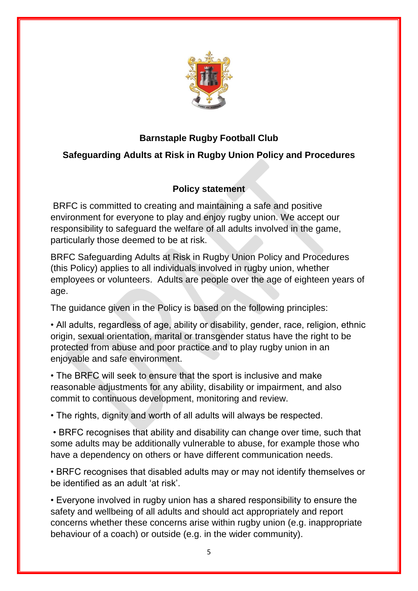

## **Barnstaple Rugby Football Club**

# **Safeguarding Adults at Risk in Rugby Union Policy and Procedures**

## **Policy statement**

BRFC is committed to creating and maintaining a safe and positive environment for everyone to play and enjoy rugby union. We accept our responsibility to safeguard the welfare of all adults involved in the game, particularly those deemed to be at risk.

BRFC Safeguarding Adults at Risk in Rugby Union Policy and Procedures (this Policy) applies to all individuals involved in rugby union, whether employees or volunteers. Adults are people over the age of eighteen years of age.

The guidance given in the Policy is based on the following principles:

• All adults, regardless of age, ability or disability, gender, race, religion, ethnic origin, sexual orientation, marital or transgender status have the right to be protected from abuse and poor practice and to play rugby union in an enjoyable and safe environment.

• The BRFC will seek to ensure that the sport is inclusive and make reasonable adjustments for any ability, disability or impairment, and also commit to continuous development, monitoring and review.

• The rights, dignity and worth of all adults will always be respected.

• BRFC recognises that ability and disability can change over time, such that some adults may be additionally vulnerable to abuse, for example those who have a dependency on others or have different communication needs.

• BRFC recognises that disabled adults may or may not identify themselves or be identified as an adult 'at risk'.

• Everyone involved in rugby union has a shared responsibility to ensure the safety and wellbeing of all adults and should act appropriately and report concerns whether these concerns arise within rugby union (e.g. inappropriate behaviour of a coach) or outside (e.g. in the wider community).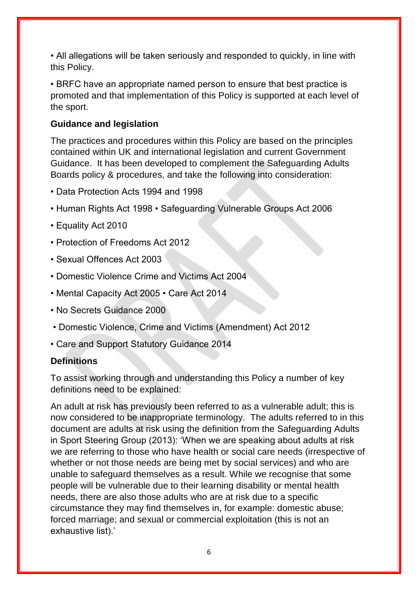• All allegations will be taken seriously and responded to quickly, in line with this Policy.

• BRFC have an appropriate named person to ensure that best practice is promoted and that implementation of this Policy is supported at each level of the sport.

#### **Guidance and legislation**

The practices and procedures within this Policy are based on the principles contained within UK and international legislation and current Government Guidance. It has been developed to complement the Safeguarding Adults Boards policy & procedures, and take the following into consideration:

- Data Protection Acts 1994 and 1998
- Human Rights Act 1998 Safeguarding Vulnerable Groups Act 2006
- Equality Act 2010
- Protection of Freedoms Act 2012
- Sexual Offences Act 2003
- Domestic Violence Crime and Victims Act 2004
- Mental Capacity Act 2005 Care Act 2014
- No Secrets Guidance 2000
- Domestic Violence, Crime and Victims (Amendment) Act 2012
- Care and Support Statutory Guidance 2014

#### **Definitions**

To assist working through and understanding this Policy a number of key definitions need to be explained:

An adult at risk has previously been referred to as a vulnerable adult; this is now considered to be inappropriate terminology. The adults referred to in this document are adults at risk using the definition from the Safeguarding Adults in Sport Steering Group (2013): 'When we are speaking about adults at risk we are referring to those who have health or social care needs (irrespective of whether or not those needs are being met by social services) and who are unable to safeguard themselves as a result. While we recognise that some people will be vulnerable due to their learning disability or mental health needs, there are also those adults who are at risk due to a specific circumstance they may find themselves in, for example: domestic abuse; forced marriage; and sexual or commercial exploitation (this is not an exhaustive list).'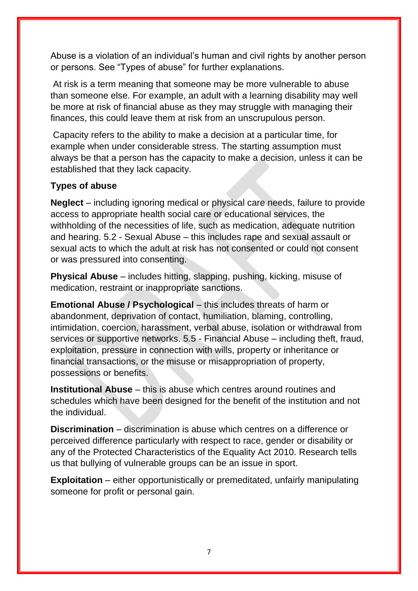Abuse is a violation of an individual's human and civil rights by another person or persons. See "Types of abuse" for further explanations.

At risk is a term meaning that someone may be more vulnerable to abuse than someone else. For example, an adult with a learning disability may well be more at risk of financial abuse as they may struggle with managing their finances, this could leave them at risk from an unscrupulous person.

Capacity refers to the ability to make a decision at a particular time, for example when under considerable stress. The starting assumption must always be that a person has the capacity to make a decision, unless it can be established that they lack capacity.

### **Types of abuse**

**Neglect** – including ignoring medical or physical care needs, failure to provide access to appropriate health social care or educational services, the withholding of the necessities of life, such as medication, adequate nutrition and hearing. 5.2 - Sexual Abuse – this includes rape and sexual assault or sexual acts to which the adult at risk has not consented or could not consent or was pressured into consenting.

**Physical Abuse** – includes hitting, slapping, pushing, kicking, misuse of medication, restraint or inappropriate sanctions.

**Emotional Abuse / Psychological** – this includes threats of harm or abandonment, deprivation of contact, humiliation, blaming, controlling, intimidation, coercion, harassment, verbal abuse, isolation or withdrawal from services or supportive networks. 5.5 - Financial Abuse – including theft, fraud, exploitation, pressure in connection with wills, property or inheritance or financial transactions, or the misuse or misappropriation of property, possessions or benefits.

**Institutional Abuse** – this is abuse which centres around routines and schedules which have been designed for the benefit of the institution and not the individual.

**Discrimination** – discrimination is abuse which centres on a difference or perceived difference particularly with respect to race, gender or disability or any of the Protected Characteristics of the Equality Act 2010. Research tells us that bullying of vulnerable groups can be an issue in sport.

**Exploitation** – either opportunistically or premeditated, unfairly manipulating someone for profit or personal gain.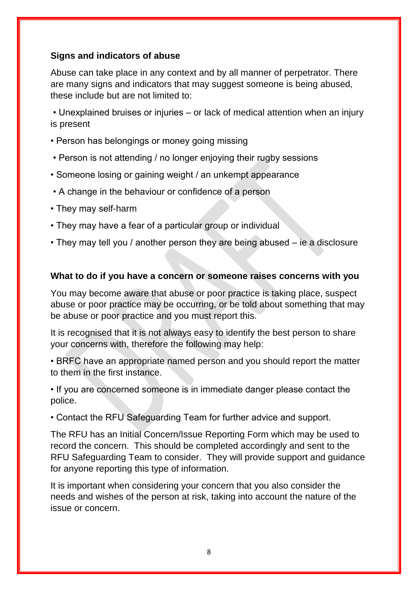## **Signs and indicators of abuse**

Abuse can take place in any context and by all manner of perpetrator. There are many signs and indicators that may suggest someone is being abused, these include but are not limited to:

• Unexplained bruises or injuries – or lack of medical attention when an injury is present

- Person has belongings or money going missing
- Person is not attending / no longer enjoying their rugby sessions
- Someone losing or gaining weight / an unkempt appearance
- A change in the behaviour or confidence of a person
- They may self-harm
- They may have a fear of a particular group or individual
- They may tell you / another person they are being abused ie a disclosure

#### **What to do if you have a concern or someone raises concerns with you**

You may become aware that abuse or poor practice is taking place, suspect abuse or poor practice may be occurring, or be told about something that may be abuse or poor practice and you must report this.

It is recognised that it is not always easy to identify the best person to share your concerns with, therefore the following may help:

• BRFC have an appropriate named person and you should report the matter to them in the first instance.

• If you are concerned someone is in immediate danger please contact the police.

• Contact the RFU Safeguarding Team for further advice and support.

The RFU has an Initial Concern/Issue Reporting Form which may be used to record the concern. This should be completed accordingly and sent to the RFU Safeguarding Team to consider. They will provide support and guidance for anyone reporting this type of information.

It is important when considering your concern that you also consider the needs and wishes of the person at risk, taking into account the nature of the issue or concern.